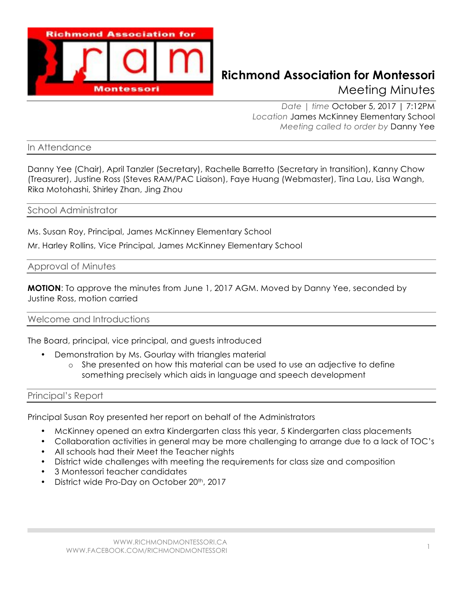

# **Richmond Association for Montessori** Meeting Minutes

*Date | time* October 5, 2017 | 7:12PM *Location* James McKinney Elementary School *Meeting called to order by* Danny Yee

In Attendance

Danny Yee (Chair), April Tanzler (Secretary), Rachelle Barretto (Secretary in transition), Kanny Chow (Treasurer), Justine Ross (Steves RAM/PAC Liaison), Faye Huang (Webmaster), Tina Lau, Lisa Wangh, Rika Motohashi, Shirley Zhan, Jing Zhou

#### School Administrator

Ms. Susan Roy, Principal, James McKinney Elementary School

Mr. Harley Rollins, Vice Principal, James McKinney Elementary School

Approval of Minutes

**MOTION**: To approve the minutes from June 1, 2017 AGM. Moved by Danny Yee, seconded by Justine Ross, motion carried

Welcome and Introductions

The Board, principal, vice principal, and guests introduced

- Demonstration by Ms. Gourlay with triangles material
	- o She presented on how this material can be used to use an adjective to define something precisely which aids in language and speech development

Principal's Report

Principal Susan Roy presented her report on behalf of the Administrators

- McKinney opened an extra Kindergarten class this year, 5 Kindergarten class placements
- Collaboration activities in general may be more challenging to arrange due to a lack of TOC's
- All schools had their Meet the Teacher nights
- District wide challenges with meeting the requirements for class size and composition
- 3 Montessori teacher candidates
- District wide Pro-Day on October 20<sup>th</sup>, 2017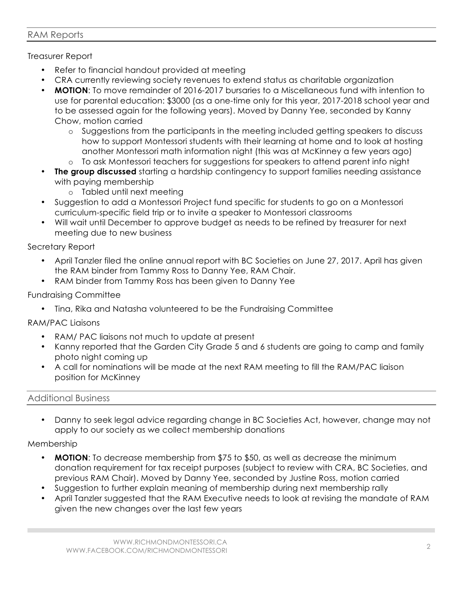### RAM Reports

## Treasurer Report

- Refer to financial handout provided at meeting
- CRA currently reviewing society revenues to extend status as charitable organization
- **MOTION**: To move remainder of 2016-2017 bursaries to a Miscellaneous fund with intention to use for parental education: \$3000 (as a one-time only for this year, 2017-2018 school year and to be assessed again for the following years). Moved by Danny Yee, seconded by Kanny Chow, motion carried
	- o Suggestions from the participants in the meeting included getting speakers to discuss how to support Montessori students with their learning at home and to look at hosting another Montessori math information night (this was at McKinney a few years ago)
	- o To ask Montessori teachers for suggestions for speakers to attend parent info night
- **The group discussed** starting a hardship contingency to support families needing assistance with paying membership
	- o Tabled until next meeting
- Suggestion to add a Montessori Project fund specific for students to go on a Montessori curriculum-specific field trip or to invite a speaker to Montessori classrooms
- Will wait until December to approve budget as needs to be refined by treasurer for next meeting due to new business

#### Secretary Report

- April Tanzler filed the online annual report with BC Societies on June 27, 2017. April has given the RAM binder from Tammy Ross to Danny Yee, RAM Chair.
- RAM binder from Tammy Ross has been given to Danny Yee

## Fundraising Committee

• Tina, Rika and Natasha volunteered to be the Fundraising Committee

#### RAM/PAC Liaisons

- RAM/ PAC liaisons not much to update at present
- Kanny reported that the Garden City Grade 5 and 6 students are going to camp and family photo night coming up
- A call for nominations will be made at the next RAM meeting to fill the RAM/PAC liaison position for McKinney

#### Additional Business

• Danny to seek legal advice regarding change in BC Societies Act, however, change may not apply to our society as we collect membership donations

Membership

- **MOTION**: To decrease membership from \$75 to \$50, as well as decrease the minimum donation requirement for tax receipt purposes (subject to review with CRA, BC Societies, and previous RAM Chair). Moved by Danny Yee, seconded by Justine Ross, motion carried
- Suggestion to further explain meaning of membership during next membership rally
- April Tanzler suggested that the RAM Executive needs to look at revising the mandate of RAM given the new changes over the last few years